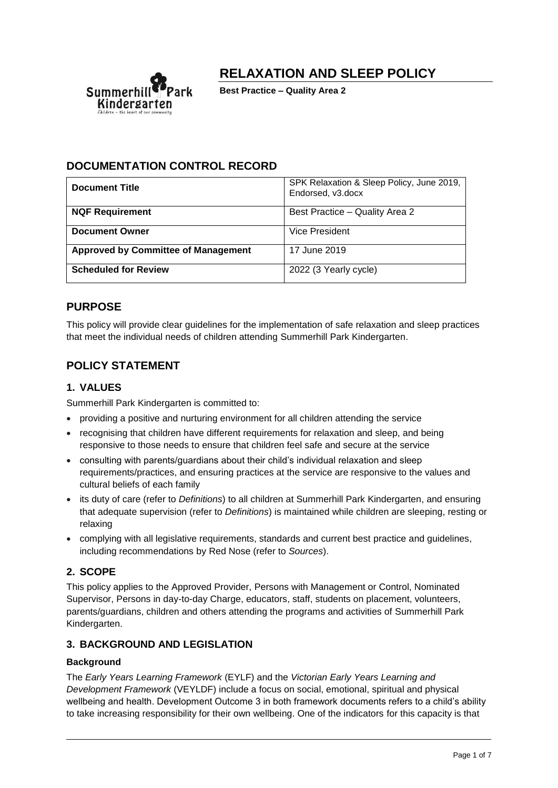

**RELAXATION AND SLEEP POLICY**

**Best Practice – Quality Area 2**

# **DOCUMENTATION CONTROL RECORD**

| <b>Document Title</b>                      | SPK Relaxation & Sleep Policy, June 2019,<br>Endorsed, v3.docx |
|--------------------------------------------|----------------------------------------------------------------|
| <b>NQF Requirement</b>                     | Best Practice - Quality Area 2                                 |
| <b>Document Owner</b>                      | Vice President                                                 |
| <b>Approved by Committee of Management</b> | 17 June 2019                                                   |
| <b>Scheduled for Review</b>                | 2022 (3 Yearly cycle)                                          |

# **PURPOSE**

This policy will provide clear guidelines for the implementation of safe relaxation and sleep practices that meet the individual needs of children attending Summerhill Park Kindergarten.

# **POLICY STATEMENT**

# **1. VALUES**

Summerhill Park Kindergarten is committed to:

- providing a positive and nurturing environment for all children attending the service
- recognising that children have different requirements for relaxation and sleep, and being responsive to those needs to ensure that children feel safe and secure at the service
- consulting with parents/guardians about their child's individual relaxation and sleep requirements/practices, and ensuring practices at the service are responsive to the values and cultural beliefs of each family
- its duty of care (refer to *Definitions*) to all children at Summerhill Park Kindergarten, and ensuring that adequate supervision (refer to *Definitions*) is maintained while children are sleeping, resting or relaxing
- complying with all legislative requirements, standards and current best practice and quidelines, including recommendations by Red Nose (refer to *Sources*).

## **2. SCOPE**

This policy applies to the Approved Provider, Persons with Management or Control, Nominated Supervisor, Persons in day-to-day Charge, educators, staff, students on placement, volunteers, parents/guardians, children and others attending the programs and activities of Summerhill Park Kindergarten.

## **3. BACKGROUND AND LEGISLATION**

## **Background**

The *Early Years Learning Framework* (EYLF) and the *Victorian Early Years Learning and Development Framework* (VEYLDF) include a focus on social, emotional, spiritual and physical wellbeing and health. Development Outcome 3 in both framework documents refers to a child's ability to take increasing responsibility for their own wellbeing. One of the indicators for this capacity is that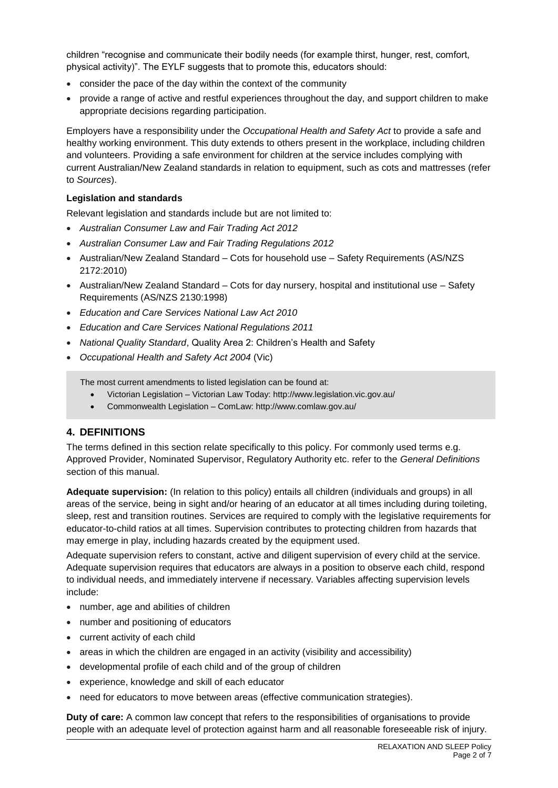children "recognise and communicate their bodily needs (for example thirst, hunger, rest, comfort, physical activity)". The EYLF suggests that to promote this, educators should:

- consider the pace of the day within the context of the community
- provide a range of active and restful experiences throughout the day, and support children to make appropriate decisions regarding participation.

Employers have a responsibility under the *Occupational Health and Safety Act* to provide a safe and healthy working environment. This duty extends to others present in the workplace, including children and volunteers. Providing a safe environment for children at the service includes complying with current Australian/New Zealand standards in relation to equipment, such as cots and mattresses (refer to *Sources*).

#### **Legislation and standards**

Relevant legislation and standards include but are not limited to:

- *Australian Consumer Law and Fair Trading Act 2012*
- *Australian Consumer Law and Fair Trading Regulations 2012*
- Australian/New Zealand Standard Cots for household use Safety Requirements (AS/NZS 2172:2010)
- Australian/New Zealand Standard Cots for day nursery, hospital and institutional use Safety Requirements (AS/NZS 2130:1998)
- *Education and Care Services National Law Act 2010*
- *Education and Care Services National Regulations 2011*
- *National Quality Standard*, Quality Area 2: Children's Health and Safety
- *Occupational Health and Safety Act 2004* (Vic)

The most current amendments to listed legislation can be found at:

- Victorian Legislation Victorian Law Today: http://www.legislation.vic.gov.au/
- Commonwealth Legislation ComLaw: http://www.comlaw.gov.au/

## **4. DEFINITIONS**

The terms defined in this section relate specifically to this policy. For commonly used terms e.g. Approved Provider, Nominated Supervisor, Regulatory Authority etc. refer to the *General Definitions* section of this manual.

**Adequate supervision:** (In relation to this policy) entails all children (individuals and groups) in all areas of the service, being in sight and/or hearing of an educator at all times including during toileting, sleep, rest and transition routines. Services are required to comply with the legislative requirements for educator-to-child ratios at all times. Supervision contributes to protecting children from hazards that may emerge in play, including hazards created by the equipment used.

Adequate supervision refers to constant, active and diligent supervision of every child at the service. Adequate supervision requires that educators are always in a position to observe each child, respond to individual needs, and immediately intervene if necessary. Variables affecting supervision levels include:

- number, age and abilities of children
- number and positioning of educators
- current activity of each child
- areas in which the children are engaged in an activity (visibility and accessibility)
- developmental profile of each child and of the group of children
- experience, knowledge and skill of each educator
- need for educators to move between areas (effective communication strategies).

**Duty of care:** A common law concept that refers to the responsibilities of organisations to provide people with an adequate level of protection against harm and all reasonable foreseeable risk of injury.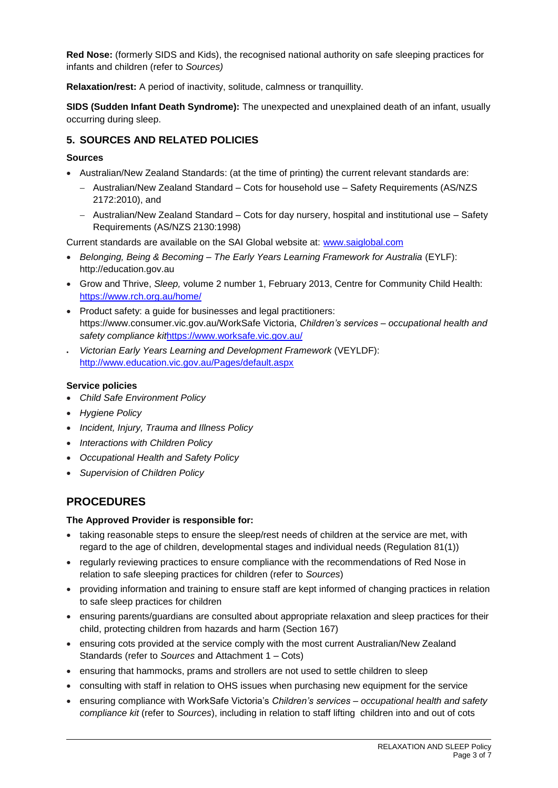**Red Nose:** (formerly SIDS and Kids), the recognised national authority on safe sleeping practices for infants and children (refer to *Sources)*

**Relaxation/rest:** A period of inactivity, solitude, calmness or tranquillity.

**SIDS (Sudden Infant Death Syndrome):** The unexpected and unexplained death of an infant, usually occurring during sleep.

## **5. SOURCES AND RELATED POLICIES**

## **Sources**

- Australian/New Zealand Standards: (at the time of printing) the current relevant standards are:
	- − Australian/New Zealand Standard Cots for household use Safety Requirements (AS/NZS 2172:2010), and
	- − Australian/New Zealand Standard Cots for day nursery, hospital and institutional use Safety Requirements (AS/NZS 2130:1998)

Current standards are available on the SAI Global website at: [www.saiglobal.com](http://www.saiglobal.com/)

- *Belonging, Being & Becoming – The Early Years Learning Framework for Australia* (EYLF): http://education.gov.au
- Grow and Thrive, *Sleep,* volume 2 number 1, February 2013, Centre for Community Child Health: <https://www.rch.org.au/home/>
- Product safety: a guide for businesses and legal practitioners: https://www.consumer.vic.gov.au/WorkSafe Victoria, *Children's services – occupational health and safety compliance kit*<https://www.worksafe.vic.gov.au/>
- *Victorian Early Years Learning and Development Framework* (VEYLDF): <http://www.education.vic.gov.au/Pages/default.aspx>

## **Service policies**

- *Child Safe Environment Policy*
- *Hygiene Policy*
- *Incident, Injury, Trauma and Illness Policy*
- *Interactions with Children Policy*
- *Occupational Health and Safety Policy*
- *Supervision of Children Policy*

# **PROCEDURES**

#### **The Approved Provider is responsible for:**

- taking reasonable steps to ensure the sleep/rest needs of children at the service are met, with regard to the age of children, developmental stages and individual needs (Regulation 81(1))
- regularly reviewing practices to ensure compliance with the recommendations of Red Nose in relation to safe sleeping practices for children (refer to *Sources*)
- providing information and training to ensure staff are kept informed of changing practices in relation to safe sleep practices for children
- ensuring parents/guardians are consulted about appropriate relaxation and sleep practices for their child, protecting children from hazards and harm (Section 167)
- ensuring cots provided at the service comply with the most current Australian/New Zealand Standards (refer to *Sources* and Attachment 1 – Cots)
- ensuring that hammocks, prams and strollers are not used to settle children to sleep
- consulting with staff in relation to OHS issues when purchasing new equipment for the service
- ensuring compliance with WorkSafe Victoria's *Children's services – occupational health and safety compliance kit* (refer to *Sources*), including in relation to staff lifting children into and out of cots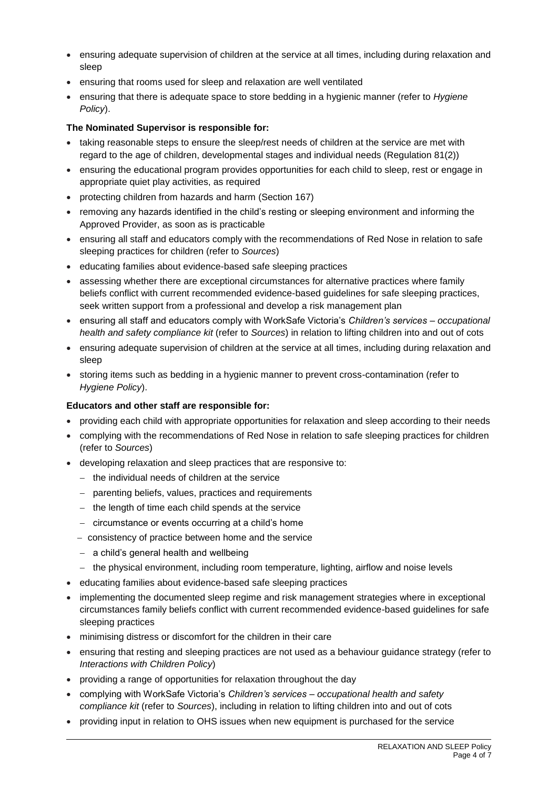- ensuring adequate supervision of children at the service at all times, including during relaxation and sleep
- ensuring that rooms used for sleep and relaxation are well ventilated
- ensuring that there is adequate space to store bedding in a hygienic manner (refer to *Hygiene Policy*).

## **The Nominated Supervisor is responsible for:**

- taking reasonable steps to ensure the sleep/rest needs of children at the service are met with regard to the age of children, developmental stages and individual needs (Regulation 81(2))
- ensuring the educational program provides opportunities for each child to sleep, rest or engage in appropriate quiet play activities, as required
- protecting children from hazards and harm (Section 167)
- removing any hazards identified in the child's resting or sleeping environment and informing the Approved Provider, as soon as is practicable
- ensuring all staff and educators comply with the recommendations of Red Nose in relation to safe sleeping practices for children (refer to *Sources*)
- educating families about evidence-based safe sleeping practices
- assessing whether there are exceptional circumstances for alternative practices where family beliefs conflict with current recommended evidence-based guidelines for safe sleeping practices, seek written support from a professional and develop a risk management plan
- ensuring all staff and educators comply with WorkSafe Victoria's *Children's services – occupational health and safety compliance kit* (refer to *Sources*) in relation to lifting children into and out of cots
- ensuring adequate supervision of children at the service at all times, including during relaxation and sleep
- storing items such as bedding in a hygienic manner to prevent cross-contamination (refer to *Hygiene Policy*).

#### **Educators and other staff are responsible for:**

- providing each child with appropriate opportunities for relaxation and sleep according to their needs
- complying with the recommendations of Red Nose in relation to safe sleeping practices for children (refer to *Sources*)
- developing relaxation and sleep practices that are responsive to:
	- − the individual needs of children at the service
	- − parenting beliefs, values, practices and requirements
	- − the length of time each child spends at the service
	- − circumstance or events occurring at a child's home
	- − consistency of practice between home and the service
	- − a child's general health and wellbeing
	- − the physical environment, including room temperature, lighting, airflow and noise levels
- educating families about evidence-based safe sleeping practices
- implementing the documented sleep regime and risk management strategies where in exceptional circumstances family beliefs conflict with current recommended evidence-based guidelines for safe sleeping practices
- minimising distress or discomfort for the children in their care
- ensuring that resting and sleeping practices are not used as a behaviour guidance strategy (refer to *Interactions with Children Policy*)
- providing a range of opportunities for relaxation throughout the day
- complying with WorkSafe Victoria's *Children's services – occupational health and safety compliance kit* (refer to *Sources*), including in relation to lifting children into and out of cots
- providing input in relation to OHS issues when new equipment is purchased for the service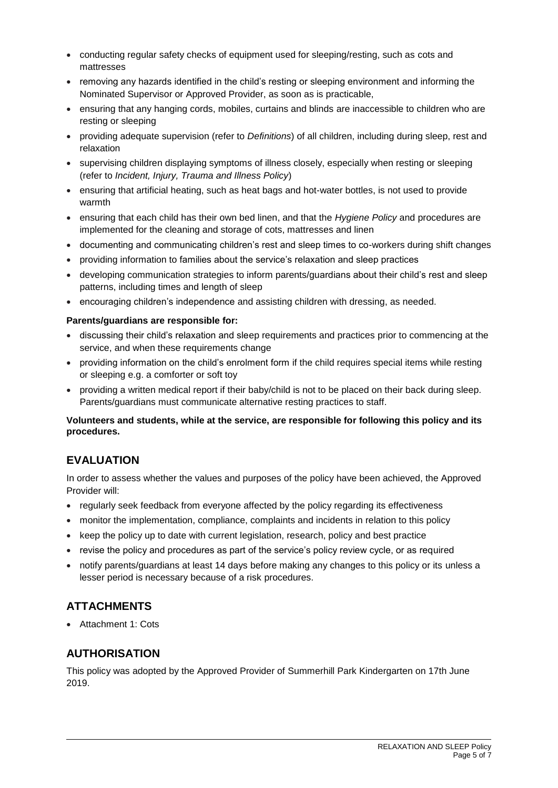- conducting regular safety checks of equipment used for sleeping/resting, such as cots and mattresses
- removing any hazards identified in the child's resting or sleeping environment and informing the Nominated Supervisor or Approved Provider, as soon as is practicable,
- ensuring that any hanging cords, mobiles, curtains and blinds are inaccessible to children who are resting or sleeping
- providing adequate supervision (refer to *Definitions*) of all children, including during sleep, rest and relaxation
- supervising children displaying symptoms of illness closely, especially when resting or sleeping (refer to *Incident, Injury, Trauma and Illness Policy*)
- ensuring that artificial heating, such as heat bags and hot-water bottles, is not used to provide warmth
- ensuring that each child has their own bed linen, and that the *Hygiene Policy* and procedures are implemented for the cleaning and storage of cots, mattresses and linen
- documenting and communicating children's rest and sleep times to co-workers during shift changes
- providing information to families about the service's relaxation and sleep practices
- developing communication strategies to inform parents/guardians about their child's rest and sleep patterns, including times and length of sleep
- encouraging children's independence and assisting children with dressing, as needed.

## **Parents/guardians are responsible for:**

- discussing their child's relaxation and sleep requirements and practices prior to commencing at the service, and when these requirements change
- providing information on the child's enrolment form if the child requires special items while resting or sleeping e.g. a comforter or soft toy
- providing a written medical report if their baby/child is not to be placed on their back during sleep. Parents/guardians must communicate alternative resting practices to staff.

## **Volunteers and students, while at the service, are responsible for following this policy and its procedures.**

# **EVALUATION**

In order to assess whether the values and purposes of the policy have been achieved, the Approved Provider will:

- regularly seek feedback from everyone affected by the policy regarding its effectiveness
- monitor the implementation, compliance, complaints and incidents in relation to this policy
- keep the policy up to date with current legislation, research, policy and best practice
- revise the policy and procedures as part of the service's policy review cycle, or as required
- notify parents/guardians at least 14 days before making any changes to this policy or its unless a lesser period is necessary because of a risk procedures.

# **ATTACHMENTS**

• Attachment 1: Cots

# **AUTHORISATION**

This policy was adopted by the Approved Provider of Summerhill Park Kindergarten on 17th June 2019.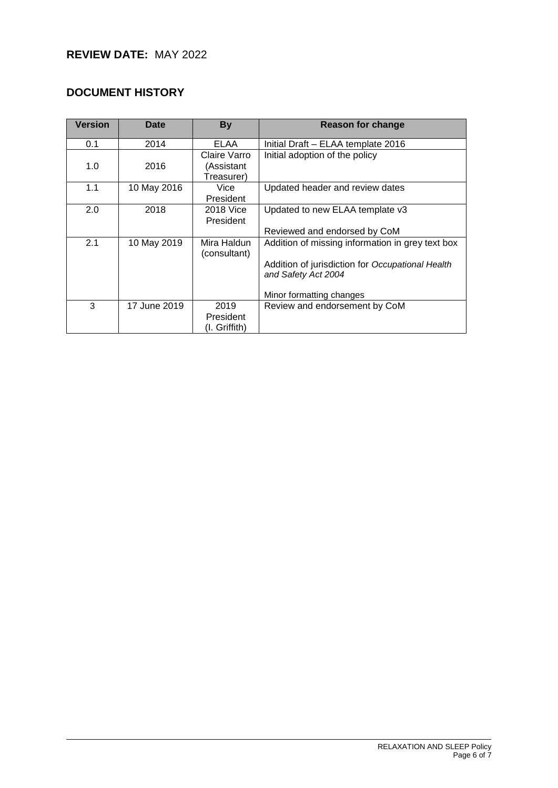# **REVIEW DATE:** MAY 2022

# **DOCUMENT HISTORY**

| <b>Version</b> | <b>Date</b>  | <b>By</b>                                | <b>Reason for change</b>                                                                                                                                |
|----------------|--------------|------------------------------------------|---------------------------------------------------------------------------------------------------------------------------------------------------------|
| 0.1            | 2014         | ELAA                                     | Initial Draft – ELAA template 2016                                                                                                                      |
| 1.0            | 2016         | Claire Varro<br>(Assistant<br>Treasurer) | Initial adoption of the policy                                                                                                                          |
| 1.1            | 10 May 2016  | Vice<br>President                        | Updated header and review dates                                                                                                                         |
| 2.0            | 2018         | 2018 Vice<br>President                   | Updated to new ELAA template v3<br>Reviewed and endorsed by CoM                                                                                         |
| 2.1            | 10 May 2019  | Mira Haldun<br>(consultant)              | Addition of missing information in grey text box<br>Addition of jurisdiction for Occupational Health<br>and Safety Act 2004<br>Minor formatting changes |
| 3              | 17 June 2019 | 2019<br>President<br>(I. Griffith)       | Review and endorsement by CoM                                                                                                                           |